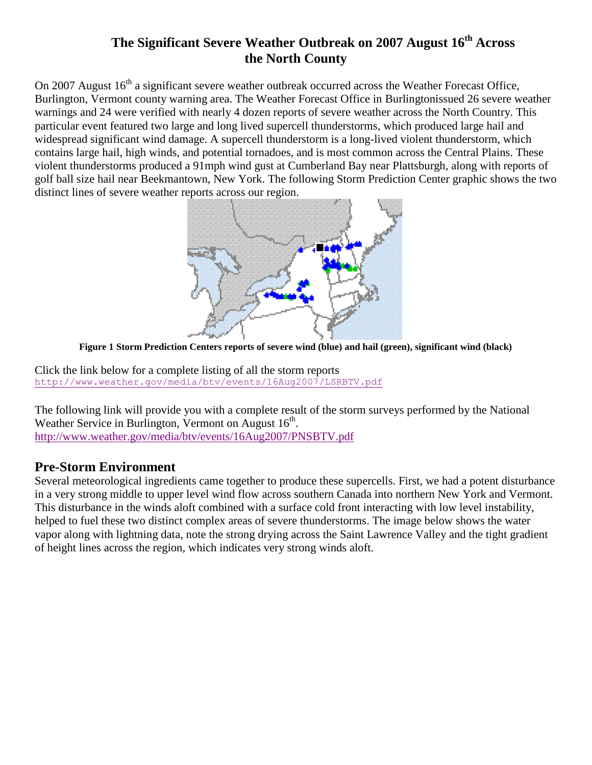## **The Significant Severe Weather Outbreak on 2007 August 16th Across the North County**

On 2007 August 16<sup>th</sup> a significant severe weather outbreak occurred across the Weather Forecast Office, Burlington, Vermont county warning area. The Weather Forecast Office in Burlingtonissued 26 severe weather warnings and 24 were verified with nearly 4 dozen reports of severe weather across the North Country. This particular event featured two large and long lived supercell thunderstorms, which produced large hail and widespread significant wind damage. A supercell thunderstorm is a long-lived violent thunderstorm, which contains large hail, high winds, and potential tornadoes, and is most common across the Central Plains. These violent thunderstorms produced a 91mph wind gust at Cumberland Bay near Plattsburgh, along with reports of golf ball size hail near Beekmantown, New York. The following Storm Prediction Center graphic shows the two distinct lines of severe weather reports across our region.



**Figure 1 Storm Prediction Centers reports of severe wind (blue) and hail (green), significant wind (black)**

Click the link below for a complete listing of all the storm reports <http://www.weather.gov/media/btv/events/16Aug2007/LSRBTV.pdf>

The following link will provide you with a complete result of the storm surveys performed by the National Weather Service in Burlington, Vermont on August  $16<sup>th</sup>$ . <http://www.weather.gov/media/btv/events/16Aug2007/PNSBTV.pdf>

#### **Pre-Storm Environment**

Several meteorological ingredients came together to produce these supercells. First, we had a potent disturbance in a very strong middle to upper level wind flow across southern Canada into northern New York and Vermont. This disturbance in the winds aloft combined with a surface cold front interacting with low level instability, helped to fuel these two distinct complex areas of severe thunderstorms. The image below shows the water vapor along with lightning data, note the strong drying across the Saint Lawrence Valley and the tight gradient of height lines across the region, which indicates very strong winds aloft.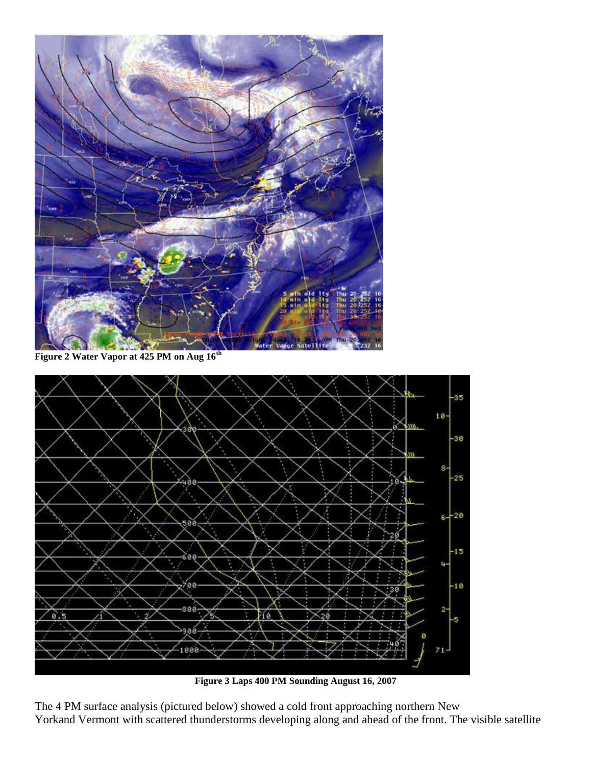

**Figure 2 Water Vapor at 425 PM on Aug 16th**



**Figure 3 Laps 400 PM Sounding August 16, 2007**

The 4 PM surface analysis (pictured below) showed a cold front approaching northern New Yorkand Vermont with scattered thunderstorms developing along and ahead of the front. The visible satellite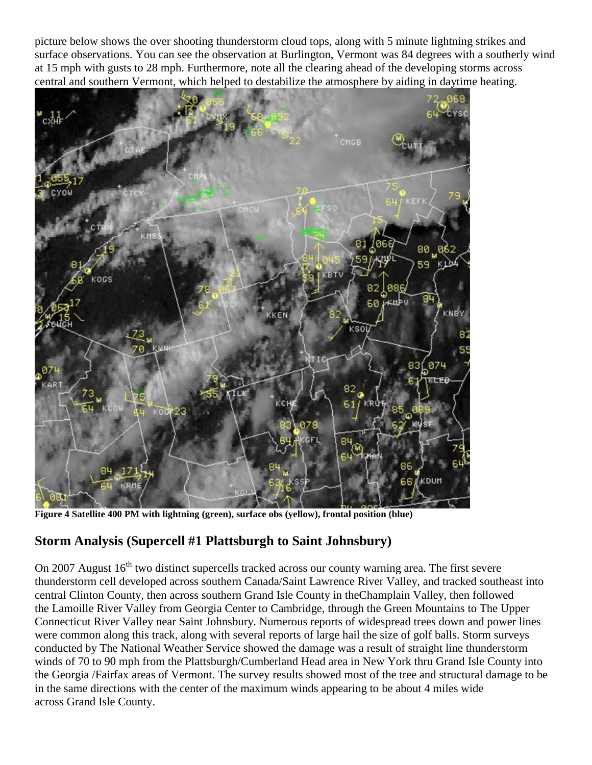picture below shows the over shooting thunderstorm cloud tops, along with 5 minute lightning strikes and surface observations. You can see the observation at Burlington, Vermont was 84 degrees with a southerly wind at 15 mph with gusts to 28 mph. Furthermore, note all the clearing ahead of the developing storms across central and southern Vermont, which helped to destabilize the atmosphere by aiding in daytime heating.



**Figure 4 Satellite 400 PM with lightning (green), surface obs (yellow), frontal position (blue)**

## **Storm Analysis (Supercell #1 Plattsburgh to Saint Johnsbury)**

On 2007 August 16<sup>th</sup> two distinct supercells tracked across our county warning area. The first severe thunderstorm cell developed across southern Canada/Saint Lawrence River Valley, and tracked southeast into central Clinton County, then across southern Grand Isle County in theChamplain Valley, then followed the Lamoille River Valley from Georgia Center to Cambridge, through the Green Mountains to The Upper Connecticut River Valley near Saint Johnsbury. Numerous reports of widespread trees down and power lines were common along this track, along with several reports of large hail the size of golf balls. Storm surveys conducted by The National Weather Service showed the damage was a result of straight line thunderstorm winds of 70 to 90 mph from the Plattsburgh/Cumberland Head area in New York thru Grand Isle County into the Georgia /Fairfax areas of Vermont. The survey results showed most of the tree and structural damage to be in the same directions with the center of the maximum winds appearing to be about 4 miles wide across Grand Isle County.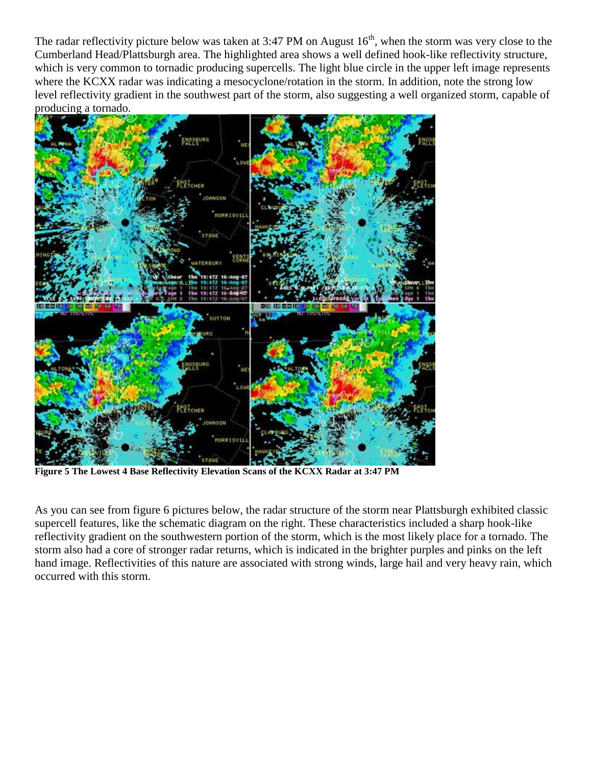The radar reflectivity picture below was taken at 3:47 PM on August  $16<sup>th</sup>$ , when the storm was very close to the Cumberland Head/Plattsburgh area. The highlighted area shows a well defined hook-like reflectivity structure, which is very common to tornadic producing supercells. The light blue circle in the upper left image represents where the KCXX radar was indicating a mesocyclone/rotation in the storm. In addition, note the strong low level reflectivity gradient in the southwest part of the storm, also suggesting a well organized storm, capable of producing a tornado.



**Figure 5 The Lowest 4 Base Reflectivity Elevation Scans of the KCXX Radar at 3:47 PM**

As you can see from figure 6 pictures below, the radar structure of the storm near Plattsburgh exhibited classic supercell features, like the schematic diagram on the right. These characteristics included a sharp hook-like reflectivity gradient on the southwestern portion of the storm, which is the most likely place for a tornado. The storm also had a core of stronger radar returns, which is indicated in the brighter purples and pinks on the left hand image. Reflectivities of this nature are associated with strong winds, large hail and very heavy rain, which occurred with this storm.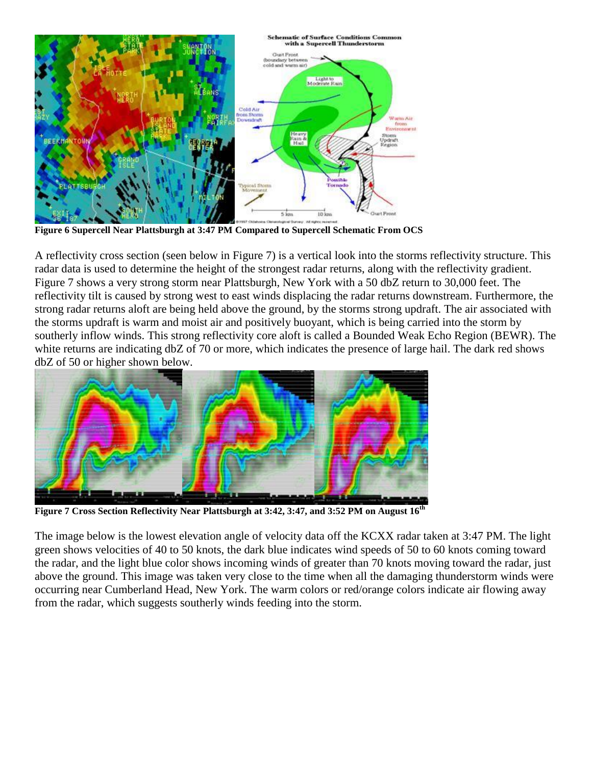

**Figure 6 Supercell Near Plattsburgh at 3:47 PM Compared to Supercell Schematic From OCS**

A reflectivity cross section (seen below in Figure 7) is a vertical look into the storms reflectivity structure. This radar data is used to determine the height of the strongest radar returns, along with the reflectivity gradient. Figure 7 shows a very strong storm near Plattsburgh, New York with a 50 dbZ return to 30,000 feet. The reflectivity tilt is caused by strong west to east winds displacing the radar returns downstream. Furthermore, the strong radar returns aloft are being held above the ground, by the storms strong updraft. The air associated with the storms updraft is warm and moist air and positively buoyant, which is being carried into the storm by southerly inflow winds. This strong reflectivity core aloft is called a Bounded Weak Echo Region (BEWR). The white returns are indicating dbZ of 70 or more, which indicates the presence of large hail. The dark red shows dbZ of 50 or higher shown below.



**Figure 7 Cross Section Reflectivity Near Plattsburgh at 3:42, 3:47, and 3:52 PM on August 16th**

The image below is the lowest elevation angle of velocity data off the KCXX radar taken at 3:47 PM. The light green shows velocities of 40 to 50 knots, the dark blue indicates wind speeds of 50 to 60 knots coming toward the radar, and the light blue color shows incoming winds of greater than 70 knots moving toward the radar, just above the ground. This image was taken very close to the time when all the damaging thunderstorm winds were occurring near Cumberland Head, New York. The warm colors or red/orange colors indicate air flowing away from the radar, which suggests southerly winds feeding into the storm.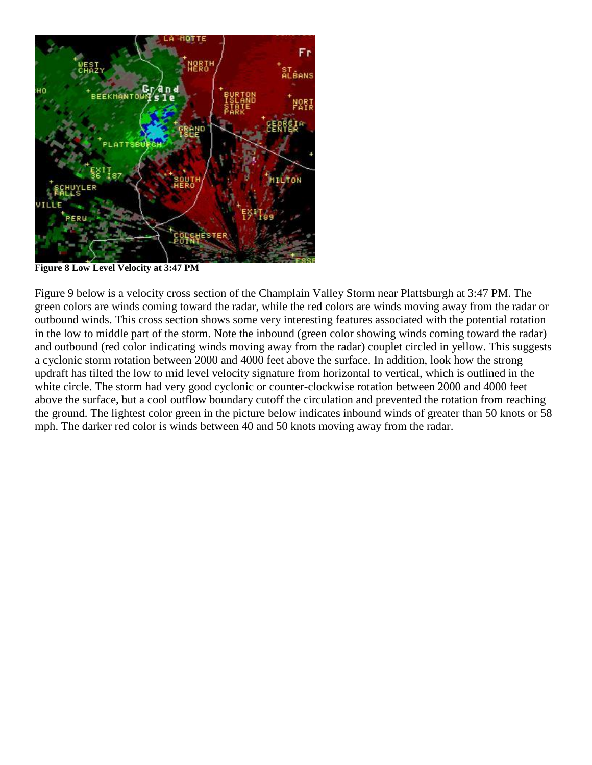

**Figure 8 Low Level Velocity at 3:47 PM**

Figure 9 below is a velocity cross section of the Champlain Valley Storm near Plattsburgh at 3:47 PM. The green colors are winds coming toward the radar, while the red colors are winds moving away from the radar or outbound winds. This cross section shows some very interesting features associated with the potential rotation in the low to middle part of the storm. Note the inbound (green color showing winds coming toward the radar) and outbound (red color indicating winds moving away from the radar) couplet circled in yellow. This suggests a cyclonic storm rotation between 2000 and 4000 feet above the surface. In addition, look how the strong updraft has tilted the low to mid level velocity signature from horizontal to vertical, which is outlined in the white circle. The storm had very good cyclonic or counter-clockwise rotation between 2000 and 4000 feet above the surface, but a cool outflow boundary cutoff the circulation and prevented the rotation from reaching the ground. The lightest color green in the picture below indicates inbound winds of greater than 50 knots or 58 mph. The darker red color is winds between 40 and 50 knots moving away from the radar.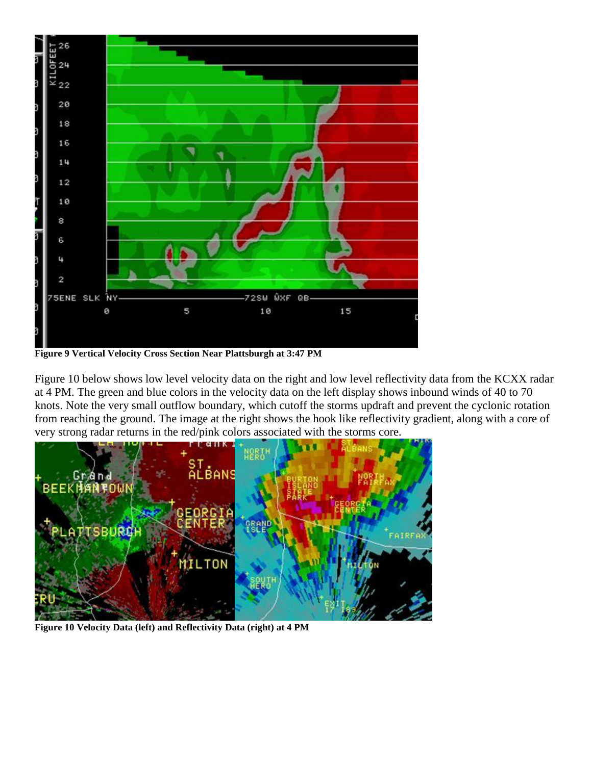

**Figure 9 Vertical Velocity Cross Section Near Plattsburgh at 3:47 PM**

Figure 10 below shows low level velocity data on the right and low level reflectivity data from the KCXX radar at 4 PM. The green and blue colors in the velocity data on the left display shows inbound winds of 40 to 70 knots. Note the very small outflow boundary, which cutoff the storms updraft and prevent the cyclonic rotation from reaching the ground. The image at the right shows the hook like reflectivity gradient, along with a core of very strong radar returns in the red/pink colors associated with the storms core.



**Figure 10 Velocity Data (left) and Reflectivity Data (right) at 4 PM**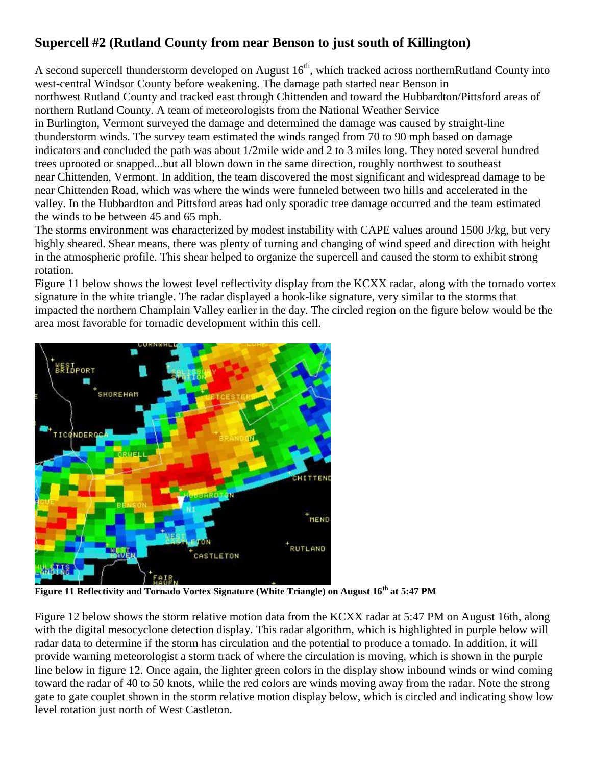# **Supercell #2 (Rutland County from near Benson to just south of Killington)**

A second supercell thunderstorm developed on August  $16<sup>th</sup>$ , which tracked across northernRutland County into west-central Windsor County before weakening. The damage path started near Benson in northwest Rutland County and tracked east through Chittenden and toward the Hubbardton/Pittsford areas of northern Rutland County. A team of meteorologists from the National Weather Service in Burlington, Vermont surveyed the damage and determined the damage was caused by straight-line thunderstorm winds. The survey team estimated the winds ranged from 70 to 90 mph based on damage indicators and concluded the path was about 1/2mile wide and 2 to 3 miles long. They noted several hundred trees uprooted or snapped...but all blown down in the same direction, roughly northwest to southeast near Chittenden, Vermont. In addition, the team discovered the most significant and widespread damage to be near Chittenden Road, which was where the winds were funneled between two hills and accelerated in the valley. In the Hubbardton and Pittsford areas had only sporadic tree damage occurred and the team estimated the winds to be between 45 and 65 mph.

The storms environment was characterized by modest instability with CAPE values around 1500 J/kg, but very highly sheared. Shear means, there was plenty of turning and changing of wind speed and direction with height in the atmospheric profile. This shear helped to organize the supercell and caused the storm to exhibit strong rotation.

Figure 11 below shows the lowest level reflectivity display from the KCXX radar, along with the tornado vortex signature in the white triangle. The radar displayed a hook-like signature, very similar to the storms that impacted the northern Champlain Valley earlier in the day. The circled region on the figure below would be the area most favorable for tornadic development within this cell.



**Figure 11 Reflectivity and Tornado Vortex Signature (White Triangle) on August 16th at 5:47 PM**

Figure 12 below shows the storm relative motion data from the KCXX radar at 5:47 PM on August 16th, along with the digital mesocyclone detection display. This radar algorithm, which is highlighted in purple below will radar data to determine if the storm has circulation and the potential to produce a tornado. In addition, it will provide warning meteorologist a storm track of where the circulation is moving, which is shown in the purple line below in figure 12. Once again, the lighter green colors in the display show inbound winds or wind coming toward the radar of 40 to 50 knots, while the red colors are winds moving away from the radar. Note the strong gate to gate couplet shown in the storm relative motion display below, which is circled and indicating show low level rotation just north of West Castleton.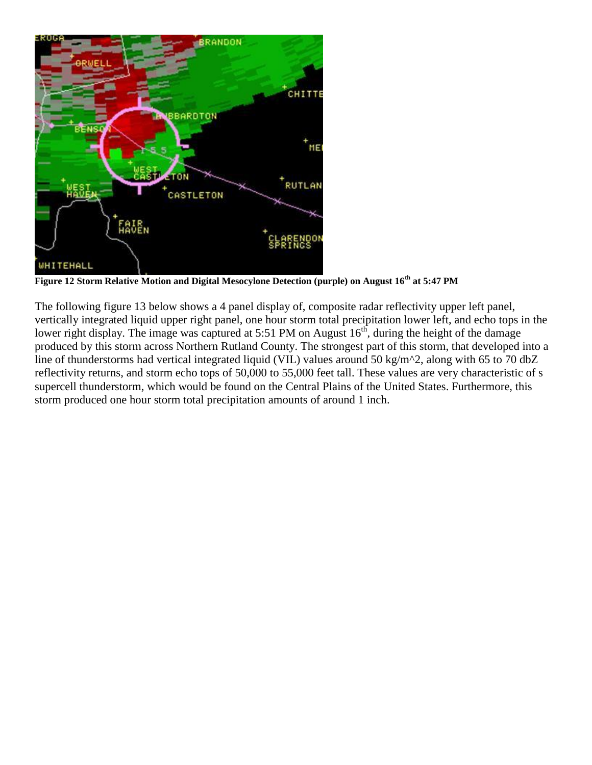

**Figure 12 Storm Relative Motion and Digital Mesocylone Detection (purple) on August 16th at 5:47 PM**

The following figure 13 below shows a 4 panel display of, composite radar reflectivity upper left panel, vertically integrated liquid upper right panel, one hour storm total precipitation lower left, and echo tops in the lower right display. The image was captured at 5:51 PM on August  $16<sup>th</sup>$ , during the height of the damage produced by this storm across Northern Rutland County. The strongest part of this storm, that developed into a line of thunderstorms had vertical integrated liquid (VIL) values around 50 kg/m<sup>2</sup>, along with 65 to 70 dbZ reflectivity returns, and storm echo tops of 50,000 to 55,000 feet tall. These values are very characteristic of s supercell thunderstorm, which would be found on the Central Plains of the United States. Furthermore, this storm produced one hour storm total precipitation amounts of around 1 inch.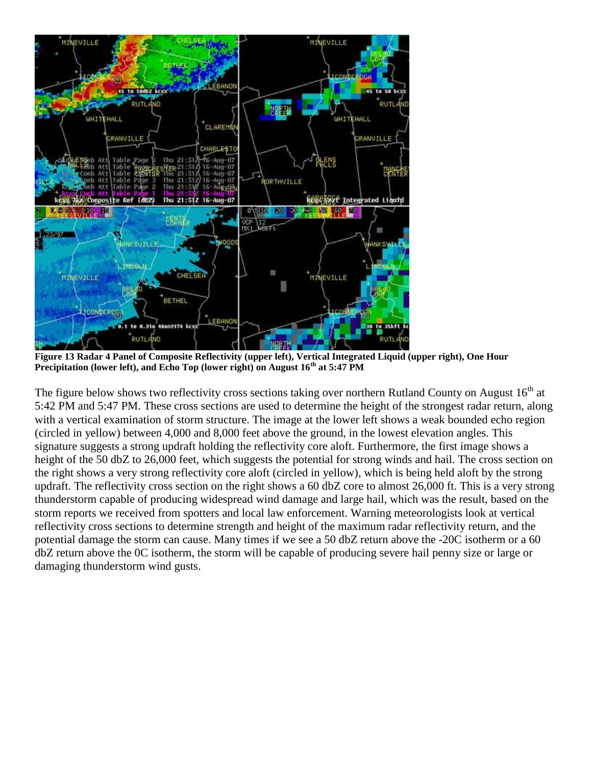

**Figure 13 Radar 4 Panel of Composite Reflectivity (upper left), Vertical Integrated Liquid (upper right), One Hour Precipitation (lower left), and Echo Top (lower right) on August 16th at 5:47 PM**

The figure below shows two reflectivity cross sections taking over northern Rutland County on August  $16<sup>th</sup>$  at 5:42 PM and 5:47 PM. These cross sections are used to determine the height of the strongest radar return, along with a vertical examination of storm structure. The image at the lower left shows a weak bounded echo region (circled in yellow) between 4,000 and 8,000 feet above the ground, in the lowest elevation angles. This signature suggests a strong updraft holding the reflectivity core aloft. Furthermore, the first image shows a height of the 50 dbZ to 26,000 feet, which suggests the potential for strong winds and hail. The cross section on the right shows a very strong reflectivity core aloft (circled in yellow), which is being held aloft by the strong updraft. The reflectivity cross section on the right shows a 60 dbZ core to almost 26,000 ft. This is a very strong thunderstorm capable of producing widespread wind damage and large hail, which was the result, based on the storm reports we received from spotters and local law enforcement. Warning meteorologists look at vertical reflectivity cross sections to determine strength and height of the maximum radar reflectivity return, and the potential damage the storm can cause. Many times if we see a 50 dbZ return above the -20C isotherm or a 60 dbZ return above the 0C isotherm, the storm will be capable of producing severe hail penny size or large or damaging thunderstorm wind gusts.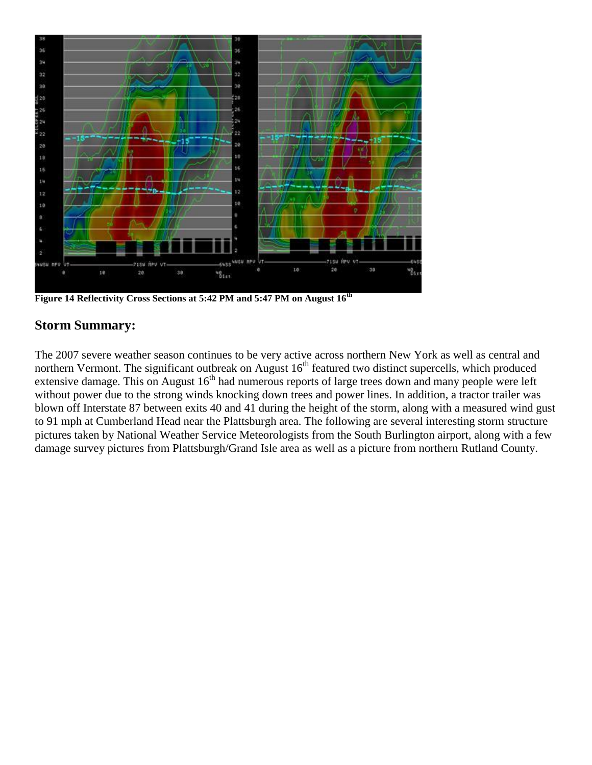

**Figure 14 Reflectivity Cross Sections at 5:42 PM and 5:47 PM on August 16[th](http://www.weather.gov/images/btv/events/16Aug2007/image060.png)**

#### **Storm Summary:**

The 2007 severe weather season continues to be very active across northern New York as well as central and northern Vermont. The significant outbreak on August  $16<sup>th</sup>$  featured two distinct supercells, which produced extensive damage. This on August 16<sup>th</sup> had numerous reports of large trees down and many people were left without power due to the strong winds knocking down trees and power lines. In addition, a tractor trailer was blown off Interstate 87 between exits 40 and 41 during the height of the storm, along with a measured wind gust to 91 mph at Cumberland Head near the Plattsburgh area. The following are several interesting storm structure pictures taken by National Weather Service Meteorologists from the South Burlington airport, along with a few damage survey pictures from Plattsburgh/Grand Isle area as well as a picture from northern Rutland County.